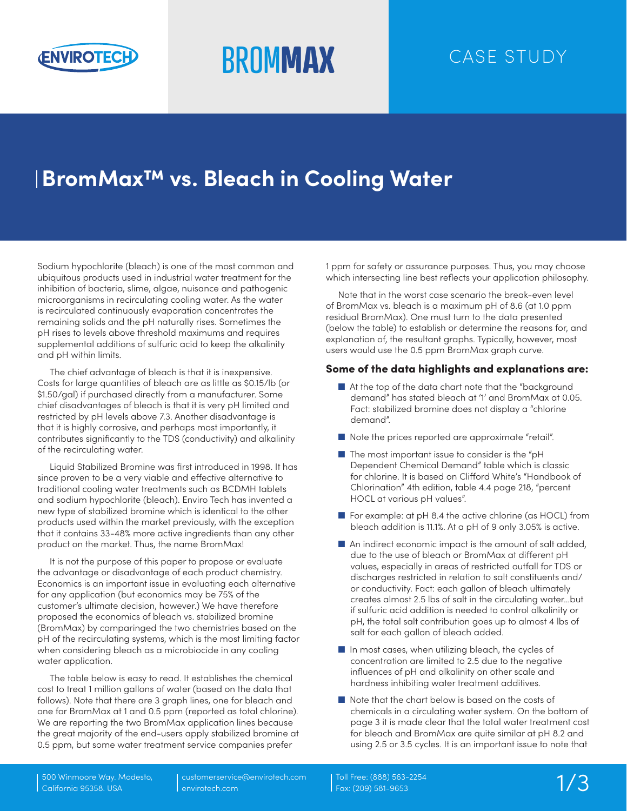

# **BROMMAX** CASE STUDY

## **BromMax™ vs. Bleach in Cooling Water**

Sodium hypochlorite (bleach) is one of the most common and ubiquitous products used in industrial water treatment for the inhibition of bacteria, slime, algae, nuisance and pathogenic microorganisms in recirculating cooling water. As the water is recirculated continuously evaporation concentrates the remaining solids and the pH naturally rises. Sometimes the pH rises to levels above threshold maximums and requires supplemental additions of sulfuric acid to keep the alkalinity and pH within limits.

The chief advantage of bleach is that it is inexpensive. Costs for large quantities of bleach are as little as \$0.15/lb (or \$1.50/gal) if purchased directly from a manufacturer. Some chief disadvantages of bleach is that it is very pH limited and restricted by pH levels above 7.3. Another disadvantage is that it is highly corrosive, and perhaps most importantly, it contributes significantly to the TDS (conductivity) and alkalinity of the recirculating water.

Liquid Stabilized Bromine was first introduced in 1998. It has since proven to be a very viable and effective alternative to traditional cooling water treatments such as BCDMH tablets and sodium hypochlorite (bleach). Enviro Tech has invented a new type of stabilized bromine which is identical to the other products used within the market previously, with the exception that it contains 33-48% more active ingredients than any other product on the market. Thus, the name BromMax!

It is not the purpose of this paper to propose or evaluate the advantage or disadvantage of each product chemistry. Economics is an important issue in evaluating each alternative for any application (but economics may be 75% of the customer's ultimate decision, however.) We have therefore proposed the economics of bleach vs. stabilized bromine (BromMax) by comparinged the two chemistries based on the pH of the recirculating systems, which is the most limiting factor when considering bleach as a microbiocide in any cooling water application.

The table below is easy to read. It establishes the chemical cost to treat 1 million gallons of water (based on the data that follows). Note that there are 3 graph lines, one for bleach and one for BromMax at 1 and 0.5 ppm (reported as total chlorine). We are reporting the two BromMax application lines because the great majority of the end-users apply stabilized bromine at 0.5 ppm, but some water treatment service companies prefer

1 ppm for safety or assurance purposes. Thus, you may choose which intersecting line best reflects your application philosophy.

Note that in the worst case scenario the break-even level of BromMax vs. bleach is a maximum pH of 8.6 (at 1.0 ppm residual BromMax). One must turn to the data presented (below the table) to establish or determine the reasons for, and explanation of, the resultant graphs. Typically, however, most users would use the 0.5 ppm BromMax graph curve.

#### Some of the data highlights and explanations are:

- At the top of the data chart note that the "background" demand" has stated bleach at '1' and BromMax at 0.05. Fact: stabilized bromine does not display a "chlorine demand".
- Note the prices reported are approximate "retail".
- The most important issue to consider is the "pH Dependent Chemical Demand" table which is classic for chlorine. It is based on Clifford White's "Handbook of Chlorination" 4th edition, table 4.4 page 218, "percent HOCL at various pH values".
- For example: at pH 8.4 the active chlorine (as HOCL) from bleach addition is 11.1%. At a pH of 9 only 3.05% is active.
- An indirect economic impact is the amount of salt added, due to the use of bleach or BromMax at different pH values, especially in areas of restricted outfall for TDS or discharges restricted in relation to salt constituents and/ or conductivity. Fact: each gallon of bleach ultimately creates almost 2.5 lbs of salt in the circulating water…but if sulfuric acid addition is needed to control alkalinity or pH, the total salt contribution goes up to almost 4 lbs of salt for each gallon of bleach added.
- In most cases, when utilizing bleach, the cycles of concentration are limited to 2.5 due to the negative influences of pH and alkalinity on other scale and hardness inhibiting water treatment additives.
- Note that the chart below is based on the costs of chemicals in a circulating water system. On the bottom of page 3 it is made clear that the total water treatment cost for bleach and BromMax are quite similar at pH 8.2 and using 2.5 or 3.5 cycles. It is an important issue to note that

customerservice@envirotech.com envirotech.com

Toll Free: (888) 563-2254 Fax: (209) 581-9653 1/3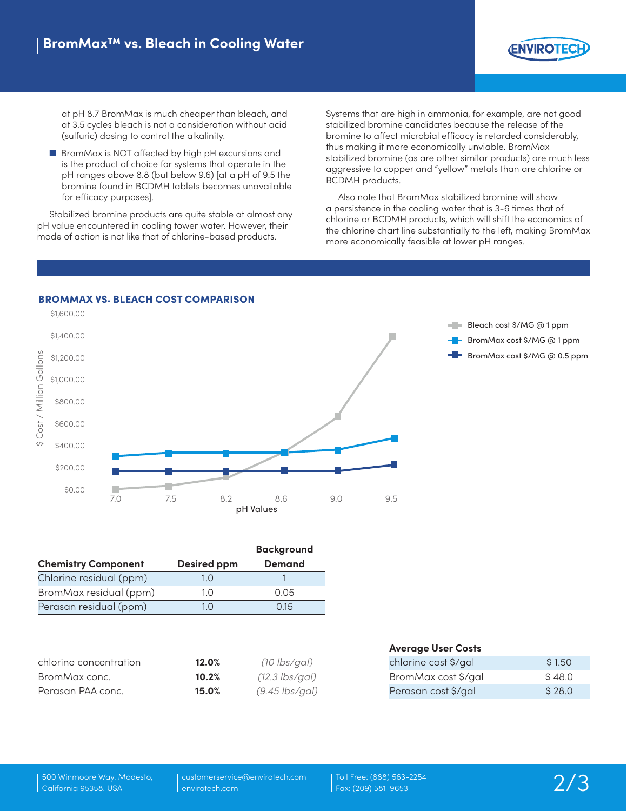

at pH 8.7 BromMax is much cheaper than bleach, and at 3.5 cycles bleach is not a consideration without acid (sulfuric) dosing to control the alkalinity.

■ BromMax is NOT affected by high pH excursions and is the product of choice for systems that operate in the pH ranges above 8.8 (but below 9.6) [at a pH of 9.5 the bromine found in BCDMH tablets becomes unavailable for efficacy purposes].

Stabilized bromine products are quite stable at almost any pH value encountered in cooling tower water. However, their mode of action is not like that of chlorine-based products.

Systems that are high in ammonia, for example, are not good stabilized bromine candidates because the release of the bromine to affect microbial efficacy is retarded considerably, thus making it more economically unviable. BromMax stabilized bromine (as are other similar products) are much less aggressive to copper and "yellow" metals than are chlorine or BCDMH products.

Also note that BromMax stabilized bromine will show a persistence in the cooling water that is 3-6 times that of chlorine or BCDMH products, which will shift the economics of the chlorine chart line substantially to the left, making BromMax more economically feasible at lower pH ranges.



|                            |                    | <b>Background</b> |
|----------------------------|--------------------|-------------------|
| <b>Chemistry Component</b> | <b>Desired ppm</b> | <b>Demand</b>     |
| Chlorine residual (ppm)    | 1 ()               |                   |
| BromMax residual (ppm)     | 10                 | 0.05              |
| Perasan residual (ppm)     | 10                 | 015               |

| chlorine concentration | 12.0% | $(10 \text{ lbs/gal})$ |
|------------------------|-------|------------------------|
| BromMax conc.          | 10.2% | $(12.3$ lbs/gal)       |
| Perasan PAA conc.      | 15.0% | $(9.45$ lbs/gal)       |

| <b>Average User Costs</b> |        |
|---------------------------|--------|
| chlorine cost \$/gal      | \$1.50 |
| BromMax cost \$/gal       | \$48.0 |
| Perasan cost \$/gal       | \$28.0 |

customerservice@envirotech.com envirotech.com

Toll Free: (888) 563-2254 Fax: (209) 581-9653 2/3